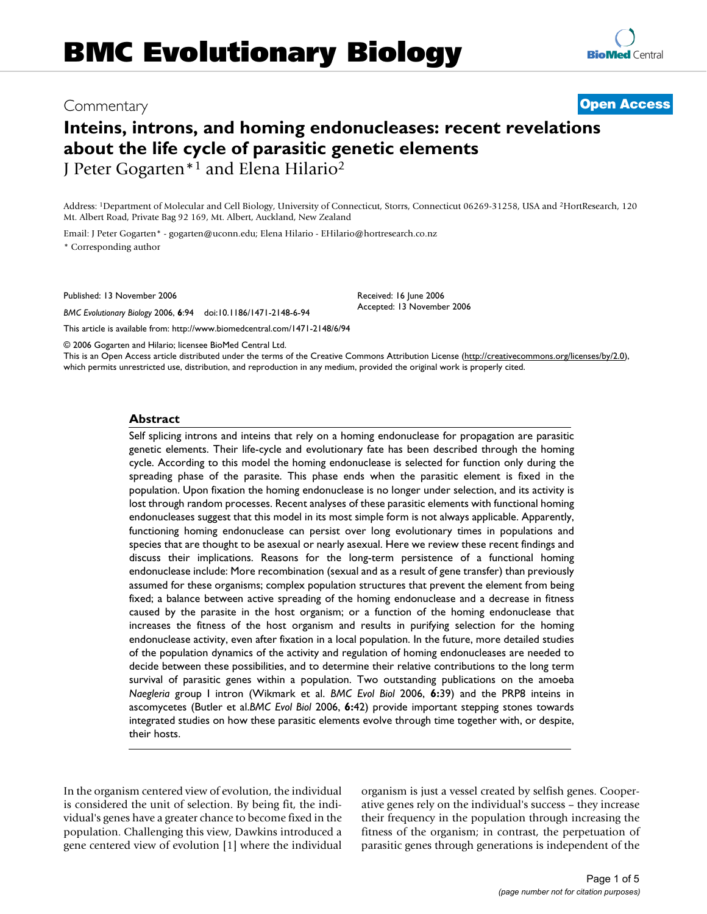## Commentary **[Open Access](http://www.biomedcentral.com/info/about/charter/)**

# **Inteins, introns, and homing endonucleases: recent revelations about the life cycle of parasitic genetic elements** J Peter Gogarten\*1 and Elena Hilario2

Address: 1Department of Molecular and Cell Biology, University of Connecticut, Storrs, Connecticut 06269-31258, USA and 2HortResearch, 120 Mt. Albert Road, Private Bag 92 169, Mt. Albert, Auckland, New Zealand

> Received: 16 June 2006 Accepted: 13 November 2006

Email: J Peter Gogarten\* - gogarten@uconn.edu; Elena Hilario - EHilario@hortresearch.co.nz \* Corresponding author

Published: 13 November 2006

*BMC Evolutionary Biology* 2006, **6**:94 doi:10.1186/1471-2148-6-94

[This article is available from: http://www.biomedcentral.com/1471-2148/6/94](http://www.biomedcentral.com/1471-2148/6/94)

© 2006 Gogarten and Hilario; licensee BioMed Central Ltd.

This is an Open Access article distributed under the terms of the Creative Commons Attribution License [\(http://creativecommons.org/licenses/by/2.0\)](http://creativecommons.org/licenses/by/2.0), which permits unrestricted use, distribution, and reproduction in any medium, provided the original work is properly cited.

#### **Abstract**

Self splicing introns and inteins that rely on a homing endonuclease for propagation are parasitic genetic elements. Their life-cycle and evolutionary fate has been described through the homing cycle. According to this model the homing endonuclease is selected for function only during the spreading phase of the parasite. This phase ends when the parasitic element is fixed in the population. Upon fixation the homing endonuclease is no longer under selection, and its activity is lost through random processes. Recent analyses of these parasitic elements with functional homing endonucleases suggest that this model in its most simple form is not always applicable. Apparently, functioning homing endonuclease can persist over long evolutionary times in populations and species that are thought to be asexual or nearly asexual. Here we review these recent findings and discuss their implications. Reasons for the long-term persistence of a functional homing endonuclease include: More recombination (sexual and as a result of gene transfer) than previously assumed for these organisms; complex population structures that prevent the element from being fixed; a balance between active spreading of the homing endonuclease and a decrease in fitness caused by the parasite in the host organism; or a function of the homing endonuclease that increases the fitness of the host organism and results in purifying selection for the homing endonuclease activity, even after fixation in a local population. In the future, more detailed studies of the population dynamics of the activity and regulation of homing endonucleases are needed to decide between these possibilities, and to determine their relative contributions to the long term survival of parasitic genes within a population. Two outstanding publications on the amoeba *Naegleria* group I intron (Wikmark et al. *BMC Evol Biol* 2006, **6:**39) and the PRP8 inteins in ascomycetes (Butler et al.*BMC Evol Biol* 2006, **6:**42) provide important stepping stones towards integrated studies on how these parasitic elements evolve through time together with, or despite, their hosts.

In the organism centered view of evolution, the individual is considered the unit of selection. By being fit, the individual's genes have a greater chance to become fixed in the population. Challenging this view, Dawkins introduced a gene centered view of evolution [1] where the individual organism is just a vessel created by selfish genes. Cooperative genes rely on the individual's success – they increase their frequency in the population through increasing the fitness of the organism; in contrast, the perpetuation of parasitic genes through generations is independent of the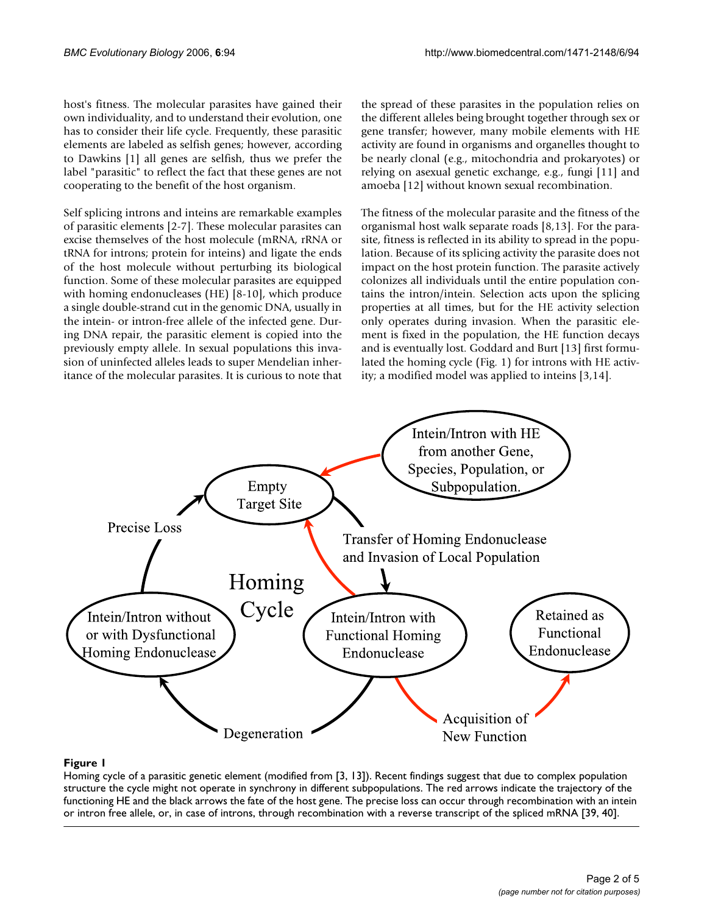host's fitness. The molecular parasites have gained their own individuality, and to understand their evolution, one has to consider their life cycle. Frequently, these parasitic elements are labeled as selfish genes; however, according to Dawkins [1] all genes are selfish, thus we prefer the label "parasitic" to reflect the fact that these genes are not cooperating to the benefit of the host organism.

Self splicing introns and inteins are remarkable examples of parasitic elements [2-7]. These molecular parasites can excise themselves of the host molecule (mRNA, rRNA or tRNA for introns; protein for inteins) and ligate the ends of the host molecule without perturbing its biological function. Some of these molecular parasites are equipped with homing endonucleases (HE) [8-10], which produce a single double-strand cut in the genomic DNA, usually in the intein- or intron-free allele of the infected gene. During DNA repair, the parasitic element is copied into the previously empty allele. In sexual populations this invasion of uninfected alleles leads to super Mendelian inheritance of the molecular parasites. It is curious to note that the spread of these parasites in the population relies on the different alleles being brought together through sex or gene transfer; however, many mobile elements with HE activity are found in organisms and organelles thought to be nearly clonal (e.g., mitochondria and prokaryotes) or relying on asexual genetic exchange, e.g., fungi [11] and amoeba [12] without known sexual recombination.

The fitness of the molecular parasite and the fitness of the organismal host walk separate roads [8,13]. For the parasite, fitness is reflected in its ability to spread in the population. Because of its splicing activity the parasite does not impact on the host protein function. The parasite actively colonizes all individuals until the entire population contains the intron/intein. Selection acts upon the splicing properties at all times, but for the HE activity selection only operates during invasion. When the parasitic element is fixed in the population, the HE function decays and is eventually lost. Goddard and Burt [13] first formulated the homing cycle (Fig. 1) for introns with HE activity; a modified model was applied to inteins [3,14].



#### Figure 1

Homing cycle of a parasitic genetic element (modified from [3, 13]). Recent findings suggest that due to complex population structure the cycle might not operate in synchrony in different subpopulations. The red arrows indicate the trajectory of the functioning HE and the black arrows the fate of the host gene. The precise loss can occur through recombination with an intein or intron free allele, or, in case of introns, through recombination with a reverse transcript of the spliced mRNA [39, 40].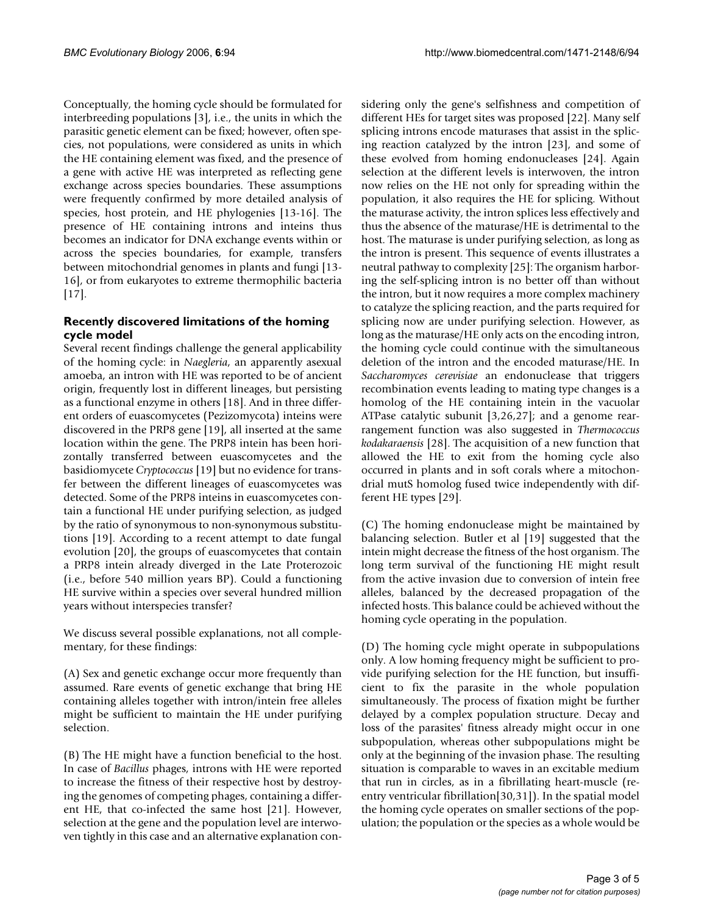Conceptually, the homing cycle should be formulated for interbreeding populations [3], i.e., the units in which the parasitic genetic element can be fixed; however, often species, not populations, were considered as units in which the HE containing element was fixed, and the presence of a gene with active HE was interpreted as reflecting gene exchange across species boundaries. These assumptions were frequently confirmed by more detailed analysis of species, host protein, and HE phylogenies [13-16]. The presence of HE containing introns and inteins thus becomes an indicator for DNA exchange events within or across the species boundaries, for example, transfers between mitochondrial genomes in plants and fungi [13- 16], or from eukaryotes to extreme thermophilic bacteria [17].

### **Recently discovered limitations of the homing cycle model**

Several recent findings challenge the general applicability of the homing cycle: in *Naegleria*, an apparently asexual amoeba, an intron with HE was reported to be of ancient origin, frequently lost in different lineages, but persisting as a functional enzyme in others [18]. And in three different orders of euascomycetes (Pezizomycota) inteins were discovered in the PRP8 gene [19], all inserted at the same location within the gene. The PRP8 intein has been horizontally transferred between euascomycetes and the basidiomycete *Cryptococcus* [19] but no evidence for transfer between the different lineages of euascomycetes was detected. Some of the PRP8 inteins in euascomycetes contain a functional HE under purifying selection, as judged by the ratio of synonymous to non-synonymous substitutions [19]. According to a recent attempt to date fungal evolution [20], the groups of euascomycetes that contain a PRP8 intein already diverged in the Late Proterozoic (i.e., before 540 million years BP). Could a functioning HE survive within a species over several hundred million years without interspecies transfer?

We discuss several possible explanations, not all complementary, for these findings:

(A) Sex and genetic exchange occur more frequently than assumed. Rare events of genetic exchange that bring HE containing alleles together with intron/intein free alleles might be sufficient to maintain the HE under purifying selection.

(B) The HE might have a function beneficial to the host. In case of *Bacillus* phages, introns with HE were reported to increase the fitness of their respective host by destroying the genomes of competing phages, containing a different HE, that co-infected the same host [21]. However, selection at the gene and the population level are interwoven tightly in this case and an alternative explanation considering only the gene's selfishness and competition of different HEs for target sites was proposed [22]. Many self splicing introns encode maturases that assist in the splicing reaction catalyzed by the intron [23], and some of these evolved from homing endonucleases [24]. Again selection at the different levels is interwoven, the intron now relies on the HE not only for spreading within the population, it also requires the HE for splicing. Without the maturase activity, the intron splices less effectively and thus the absence of the maturase/HE is detrimental to the host. The maturase is under purifying selection, as long as the intron is present. This sequence of events illustrates a neutral pathway to complexity [25]: The organism harboring the self-splicing intron is no better off than without the intron, but it now requires a more complex machinery to catalyze the splicing reaction, and the parts required for splicing now are under purifying selection. However, as long as the maturase/HE only acts on the encoding intron, the homing cycle could continue with the simultaneous deletion of the intron and the encoded maturase/HE. In *Saccharomyces cerevisiae* an endonuclease that triggers recombination events leading to mating type changes is a homolog of the HE containing intein in the vacuolar ATPase catalytic subunit [3,26,27]; and a genome rearrangement function was also suggested in *Thermococcus kodakaraensis* [28]. The acquisition of a new function that allowed the HE to exit from the homing cycle also occurred in plants and in soft corals where a mitochondrial mutS homolog fused twice independently with different HE types [29].

(C) The homing endonuclease might be maintained by balancing selection. Butler et al [19] suggested that the intein might decrease the fitness of the host organism. The long term survival of the functioning HE might result from the active invasion due to conversion of intein free alleles, balanced by the decreased propagation of the infected hosts. This balance could be achieved without the homing cycle operating in the population.

(D) The homing cycle might operate in subpopulations only. A low homing frequency might be sufficient to provide purifying selection for the HE function, but insufficient to fix the parasite in the whole population simultaneously. The process of fixation might be further delayed by a complex population structure. Decay and loss of the parasites' fitness already might occur in one subpopulation, whereas other subpopulations might be only at the beginning of the invasion phase. The resulting situation is comparable to waves in an excitable medium that run in circles, as in a fibrillating heart-muscle (reentry ventricular fibrillation[30,31]). In the spatial model the homing cycle operates on smaller sections of the population; the population or the species as a whole would be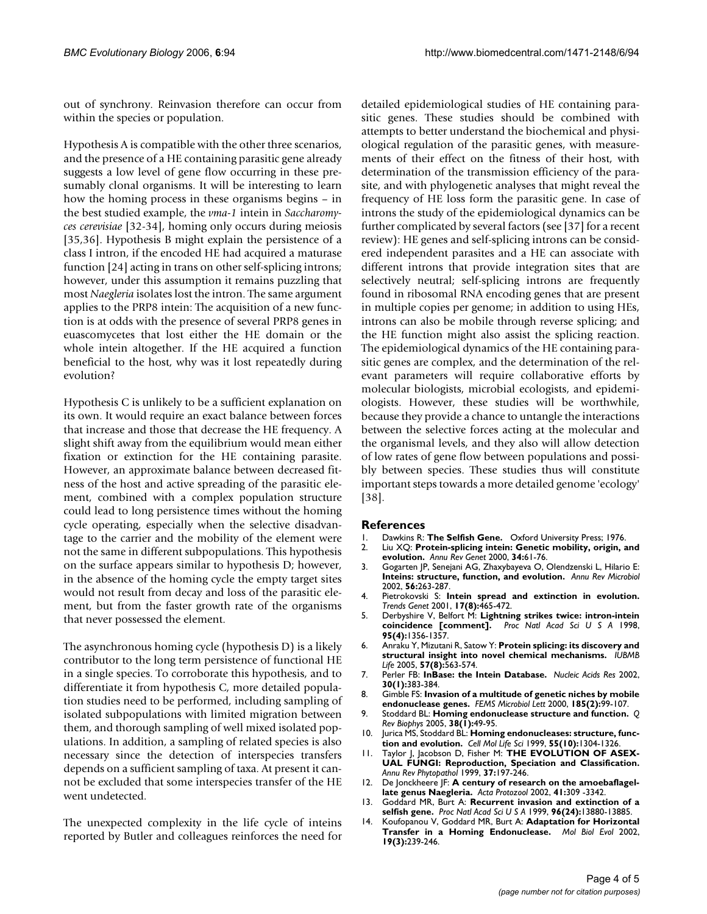out of synchrony. Reinvasion therefore can occur from within the species or population.

Hypothesis A is compatible with the other three scenarios, and the presence of a HE containing parasitic gene already suggests a low level of gene flow occurring in these presumably clonal organisms. It will be interesting to learn how the homing process in these organisms begins – in the best studied example, the *vma-1* intein in *Saccharomyces cerevisiae* [32-34], homing only occurs during meiosis [35,36]. Hypothesis B might explain the persistence of a class I intron, if the encoded HE had acquired a maturase function [24] acting in trans on other self-splicing introns; however, under this assumption it remains puzzling that most *Naegleria* isolates lost the intron. The same argument applies to the PRP8 intein: The acquisition of a new function is at odds with the presence of several PRP8 genes in euascomycetes that lost either the HE domain or the whole intein altogether. If the HE acquired a function beneficial to the host, why was it lost repeatedly during evolution?

Hypothesis C is unlikely to be a sufficient explanation on its own. It would require an exact balance between forces that increase and those that decrease the HE frequency. A slight shift away from the equilibrium would mean either fixation or extinction for the HE containing parasite. However, an approximate balance between decreased fitness of the host and active spreading of the parasitic element, combined with a complex population structure could lead to long persistence times without the homing cycle operating, especially when the selective disadvantage to the carrier and the mobility of the element were not the same in different subpopulations. This hypothesis on the surface appears similar to hypothesis D; however, in the absence of the homing cycle the empty target sites would not result from decay and loss of the parasitic element, but from the faster growth rate of the organisms that never possessed the element.

The asynchronous homing cycle (hypothesis D) is a likely contributor to the long term persistence of functional HE in a single species. To corroborate this hypothesis, and to differentiate it from hypothesis C, more detailed population studies need to be performed, including sampling of isolated subpopulations with limited migration between them, and thorough sampling of well mixed isolated populations. In addition, a sampling of related species is also necessary since the detection of interspecies transfers depends on a sufficient sampling of taxa. At present it cannot be excluded that some interspecies transfer of the HE went undetected.

The unexpected complexity in the life cycle of inteins reported by Butler and colleagues reinforces the need for detailed epidemiological studies of HE containing parasitic genes. These studies should be combined with attempts to better understand the biochemical and physiological regulation of the parasitic genes, with measurements of their effect on the fitness of their host, with determination of the transmission efficiency of the parasite, and with phylogenetic analyses that might reveal the frequency of HE loss form the parasitic gene. In case of introns the study of the epidemiological dynamics can be further complicated by several factors (see [37] for a recent review): HE genes and self-splicing introns can be considered independent parasites and a HE can associate with different introns that provide integration sites that are selectively neutral; self-splicing introns are frequently found in ribosomal RNA encoding genes that are present in multiple copies per genome; in addition to using HEs, introns can also be mobile through reverse splicing; and the HE function might also assist the splicing reaction. The epidemiological dynamics of the HE containing parasitic genes are complex, and the determination of the relevant parameters will require collaborative efforts by molecular biologists, microbial ecologists, and epidemiologists. However, these studies will be worthwhile, because they provide a chance to untangle the interactions between the selective forces acting at the molecular and the organismal levels, and they also will allow detection of low rates of gene flow between populations and possibly between species. These studies thus will constitute important steps towards a more detailed genome 'ecology' [38].

#### **References**

- 
- 1. Dawkins R: **The Selfish Gene.** Oxford University Press; 1976.<br>2. Liu XQ: **Protein-splicing intein: Genetic mobility, origin, a** 2. Liu XQ: **[Protein-splicing intein: Genetic mobility, origin, and](http://www.ncbi.nlm.nih.gov/entrez/query.fcgi?cmd=Retrieve&db=PubMed&dopt=Abstract&list_uids=11092822) [evolution.](http://www.ncbi.nlm.nih.gov/entrez/query.fcgi?cmd=Retrieve&db=PubMed&dopt=Abstract&list_uids=11092822)** *Annu Rev Genet* 2000, **34:**61-76.
- 3. Gogarten JP, Senejani AG, Zhaxybayeva O, Olendzenski L, Hilario E: **[Inteins: structure, function, and evolution.](http://www.ncbi.nlm.nih.gov/entrez/query.fcgi?cmd=Retrieve&db=PubMed&dopt=Abstract&list_uids=12142479)** *Annu Rev Microbiol* 2002, **56:**263-287.
- 4. Pietrokovski S: **[Intein spread and extinction in evolution.](http://www.ncbi.nlm.nih.gov/entrez/query.fcgi?cmd=Retrieve&db=PubMed&dopt=Abstract&list_uids=11485819)** *Trends Genet* 2001, **17(8):**465-472.
- 5. Derbyshire V, Belfort M: **[Lightning strikes twice: intron-intein](http://www.ncbi.nlm.nih.gov/entrez/query.fcgi?cmd=Retrieve&db=PubMed&dopt=Abstract&list_uids=9465018) [coincidence \[comment\].](http://www.ncbi.nlm.nih.gov/entrez/query.fcgi?cmd=Retrieve&db=PubMed&dopt=Abstract&list_uids=9465018)** *Proc Natl Acad Sci U S A* 1998, **95(4):**1356-1357.
- 6. Anraku Y, Mizutani R, Satow Y: **[Protein splicing: its discovery and](http://www.ncbi.nlm.nih.gov/entrez/query.fcgi?cmd=Retrieve&db=PubMed&dopt=Abstract&list_uids=16118114) [structural insight into novel chemical mechanisms.](http://www.ncbi.nlm.nih.gov/entrez/query.fcgi?cmd=Retrieve&db=PubMed&dopt=Abstract&list_uids=16118114)** *IUBMB Life* 2005, **57(8):**563-574.
- 7. Perler FB: **[InBase: the Intein Database.](http://www.ncbi.nlm.nih.gov/entrez/query.fcgi?cmd=Retrieve&db=PubMed&dopt=Abstract&list_uids=11752343)** *Nucleic Acids Res* 2002, **30(1):**383-384.
- 8. Gimble FS: **[Invasion of a multitude of genetic niches by mobile](http://www.ncbi.nlm.nih.gov/entrez/query.fcgi?cmd=Retrieve&db=PubMed&dopt=Abstract&list_uids=10754232) [endonuclease genes.](http://www.ncbi.nlm.nih.gov/entrez/query.fcgi?cmd=Retrieve&db=PubMed&dopt=Abstract&list_uids=10754232)** *FEMS Microbiol Lett* 2000, **185(2):**99-107.
- 9. Stoddard BL: **[Homing endonuclease structure and function.](http://www.ncbi.nlm.nih.gov/entrez/query.fcgi?cmd=Retrieve&db=PubMed&dopt=Abstract&list_uids=16336743)** *Q Rev Biophys* 2005, **38(1):**49-95.
- 10. Jurica MS, Stoddard BL: **[Homing endonucleases: structure, func](http://www.ncbi.nlm.nih.gov/entrez/query.fcgi?cmd=Retrieve&db=PubMed&dopt=Abstract&list_uids=10487208)[tion and evolution.](http://www.ncbi.nlm.nih.gov/entrez/query.fcgi?cmd=Retrieve&db=PubMed&dopt=Abstract&list_uids=10487208)** *Cell Mol Life Sci* 1999, **55(10):**1304-1326.
- 11. Taylor J, Jacobson D, Fisher M: [THE EVOLUTION OF ASEX-](http://www.ncbi.nlm.nih.gov/entrez/query.fcgi?cmd=Retrieve&db=PubMed&dopt=Abstract&list_uids=11701822)**[UAL FUNGI: Reproduction, Speciation and Classification.](http://www.ncbi.nlm.nih.gov/entrez/query.fcgi?cmd=Retrieve&db=PubMed&dopt=Abstract&list_uids=11701822)** *Annu Rev Phytopathol* 1999, **37:**197-246.
- 12. De Jonckheere JF: **A century of research on the amoebaflagellate genus Naegleria.** *Acta Protozool* 2002, **41:**309 -3342.
- 13. Goddard MR, Burt A: **[Recurrent invasion and extinction of a](http://www.ncbi.nlm.nih.gov/entrez/query.fcgi?cmd=Retrieve&db=PubMed&dopt=Abstract&list_uids=10570167) [selfish gene.](http://www.ncbi.nlm.nih.gov/entrez/query.fcgi?cmd=Retrieve&db=PubMed&dopt=Abstract&list_uids=10570167)** *Proc Natl Acad Sci U S A* 1999, **96(24):**13880-13885.
- 14. Koufopanou V, Goddard MR, Burt A: **[Adaptation for Horizontal](http://www.ncbi.nlm.nih.gov/entrez/query.fcgi?cmd=Retrieve&db=PubMed&dopt=Abstract&list_uids=11861883) [Transfer in a Homing Endonuclease.](http://www.ncbi.nlm.nih.gov/entrez/query.fcgi?cmd=Retrieve&db=PubMed&dopt=Abstract&list_uids=11861883)** *Mol Biol Evol* 2002, **19(3):**239-246.